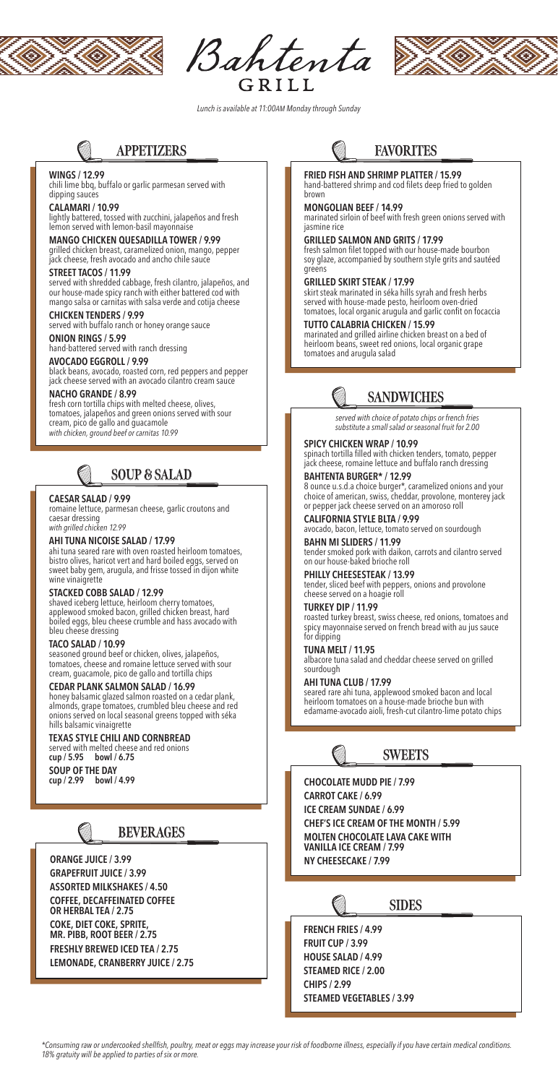

Bahtenta GRILL



*\*Consuming raw or undercooked shellfish, poultry, meat or eggs may increase your risk of foodborne illness, especially if you have certain medical conditions. 18% gratuity will be applied to parties of six or more.* 

*Lunch is available at 11:00AM Monday through Sunday*

## **APPETIZERS**

### **WINGS / 12.99**

chili lime bbq, buffalo or garlic parmesan served with dipping sauces

#### **CALAMARI / 10.99**

lightly battered, tossed with zucchini, jalapeños and fresh lemon served with lemon-basil mayonnaise

#### **MANGO CHICKEN QUESADILLA TOWER / 9.99**

grilled chicken breast, caramelized onion, mango, pepper jack cheese, fresh avocado and ancho chile sauce

#### **STREET TACOS / 11.99**

served with shredded cabbage, fresh cilantro, jalapeños, and our house-made spicy ranch with either battered cod with mango salsa or carnitas with salsa verde and cotija cheese

#### **CHICKEN TENDERS / 9.99**

served with buffalo ranch or honey orange sauce

#### **ONION RINGS / 5.99**

hand-battered served with ranch dressing

#### **AVOCADO EGGROLL / 9.99**

black beans, avocado, roasted corn, red peppers and pepper jack cheese served with an avocado cilantro cream sauce

#### **NACHO GRANDE / 8.99**

fresh corn tortilla chips with melted cheese, olives, tomatoes, jalapeños and green onions served with sour cream, pico de gallo and guacamole *with chicken, ground beef or carnitas 10.99*

## **SOUP & SALAD**

#### **CAESAR SALAD / 9.99**

romaine lettuce, parmesan cheese, garlic croutons and caesar dressing

*with grilled chicken 12.99*

#### **AHI TUNA NICOISE SALAD / 17.99**

ahi tuna seared rare with oven roasted heirloom tomatoes, bistro olives, haricot vert and hard boiled eggs, served on sweet baby gem, arugula, and frisse tossed in dijon white wine vinaigrette

#### **STACKED COBB SALAD / 12.99**

shaved iceberg lettuce, heirloom cherry tomatoes, applewood smoked bacon, grilled chicken breast, hard boiled eggs, bleu cheese crumble and hass avocado with bleu cheese dressing

#### **TACO SALAD / 10.99**

seasoned ground beef or chicken, olives, jalapeños, tomatoes, cheese and romaine lettuce served with sour cream, guacamole, pico de gallo and tortilla chips

#### **CEDAR PLANK SALMON SALAD / 16.99**

honey balsamic glazed salmon roasted on a cedar plank, almonds, grape tomatoes, crumbled bleu cheese and red onions served on local seasonal greens topped with séka hills balsamic vinaigrette

#### **TEXAS STYLE CHILI AND CORNBREAD**

served with melted cheese and red onions **cup / 5.95 bowl / 6.75**

## **SOUP OF THE DAY**

**cup / 2.99 bowl / 4.99**



## **FAVORITES**

### **FRIED FISH AND SHRIMP PLATTER / 15.99**

hand-battered shrimp and cod filets deep fried to golden brown

#### **MONGOLIAN BEEF / 14.99**

marinated sirloin of beef with fresh green onions served with jasmine rice

#### **GRILLED SALMON AND GRITS / 17.99**

fresh salmon filet topped with our house-made bourbon soy glaze, accompanied by southern style grits and sautéed greens

#### **GRILLED SKIRT STEAK / 17.99**

skirt steak marinated in séka hills syrah and fresh herbs served with house-made pesto, heirloom oven-dried tomatoes, local organic arugula and garlic confit on focaccia

#### **TUTTO CALABRIA CHICKEN / 15.99**

marinated and grilled airline chicken breast on a bed of heirloom beans, sweet red onions, local organic grape tomatoes and arugula salad

# **SANDWICHES**

#### **SPICY CHICKEN WRAP / 10.99**

spinach tortilla filled with chicken tenders, tomato, pepper jack cheese, romaine lettuce and buffalo ranch dressing

#### **BAHTENTA BURGER\* / 12.99**

8 ounce u.s.d.a choice burger\*, caramelized onions and your choice of american, swiss, cheddar, provolone, monterey jack or pepper jack cheese served on an amoroso roll

### **CALIFORNIA STYLE BLTA / 9.99**

avocado, bacon, lettuce, tomato served on sourdough

### **BAHN MI SLIDERS / 11.99**

tender smoked pork with daikon, carrots and cilantro served on our house-baked brioche roll

#### **PHILLY CHEESESTEAK / 13.99**

tender, sliced beef with peppers, onions and provolone cheese served on a hoagie roll

#### **TURKEY DIP / 11.99**

roasted turkey breast, swiss cheese, red onions, tomatoes and spicy mayonnaise served on french bread with au jus sauce for dipping

### **TUNA MELT / 11.95**

albacore tuna salad and cheddar cheese served on grilled sourdough

#### **AHI TUNA CLUB / 17.99**

seared rare ahi tuna, applewood smoked bacon and local heirloom tomatoes on a house-made brioche bun with edamame-avocado aioli, fresh-cut cilantro-lime potato chips

*served with choice of potato chips or french fries substitute a small salad or seasonal fruit for 2.00*



**CHOCOLATE MUDD PIE / 7.99 CARROT CAKE / 6.99 ICE CREAM SUNDAE / 6.99 CHEF'S ICE CREAM OF THE MONTH / 5.99 MOLTEN CHOCOLATE LAVA CAKE WITH VANILLA ICE CREAM / 7.99 NY CHEESECAKE / 7.99**



**ORANGE JUICE / 3.99 GRAPEFRUIT JUICE / 3.99 ASSORTED MILKSHAKES / 4.50 COFFEE, DECAFFEINATED COFFEE OR HERBAL TEA / 2.75 COKE, DIET COKE, SPRITE, MR. PIBB, ROOT BEER / 2.75 FRESHLY BREWED ICED TEA / 2.75 LEMONADE, CRANBERRY JUICE / 2.75**